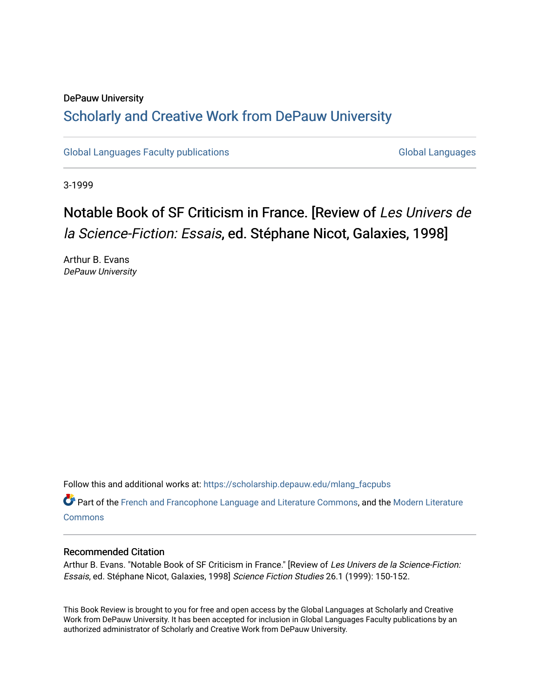## DePauw University Scholarly and [Creative Work from DePauw Univ](https://scholarship.depauw.edu/)ersity

[Global Languages Faculty publications](https://scholarship.depauw.edu/mlang_facpubs) [Global Languages](https://scholarship.depauw.edu/modernlanguages) Global Languages

3-1999

## Notable Book of SF Criticism in France. [Review of Les Univers de la Science-Fiction: Essais, ed. Stéphane Nicot, Galaxies, 1998]

Arthur B. Evans DePauw University

Follow this and additional works at: [https://scholarship.depauw.edu/mlang\\_facpubs](https://scholarship.depauw.edu/mlang_facpubs?utm_source=scholarship.depauw.edu%2Fmlang_facpubs%2F51&utm_medium=PDF&utm_campaign=PDFCoverPages)

Part of the [French and Francophone Language and Literature Commons,](https://network.bepress.com/hgg/discipline/463?utm_source=scholarship.depauw.edu%2Fmlang_facpubs%2F51&utm_medium=PDF&utm_campaign=PDFCoverPages) and the [Modern Literature](https://network.bepress.com/hgg/discipline/1050?utm_source=scholarship.depauw.edu%2Fmlang_facpubs%2F51&utm_medium=PDF&utm_campaign=PDFCoverPages) **[Commons](https://network.bepress.com/hgg/discipline/1050?utm_source=scholarship.depauw.edu%2Fmlang_facpubs%2F51&utm_medium=PDF&utm_campaign=PDFCoverPages)** 

## Recommended Citation

Arthur B. Evans. "Notable Book of SF Criticism in France." [Review of Les Univers de la Science-Fiction: Essais, ed. Stéphane Nicot, Galaxies, 1998] Science Fiction Studies 26.1 (1999): 150-152.

This Book Review is brought to you for free and open access by the Global Languages at Scholarly and Creative Work from DePauw University. It has been accepted for inclusion in Global Languages Faculty publications by an authorized administrator of Scholarly and Creative Work from DePauw University.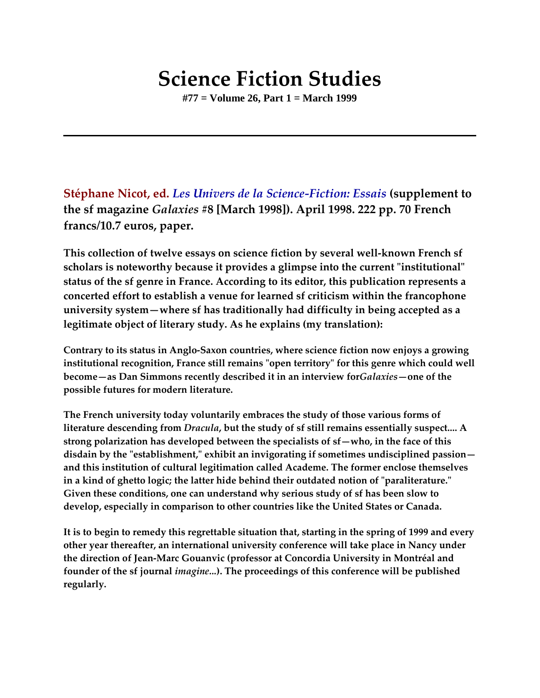## **Science Fiction Studies**

**#77 = Volume 26, Part 1 = March 1999**

**Stéphane Nicot, ed.** *Les Univers de la Science-Fiction: Essais* **(supplement to the sf magazine** *Galaxies* **#8 [March 1998]). April 1998. 222 pp. 70 French francs/10.7 euros, paper.**

**This collection of twelve essays on science fiction by several well-known French sf scholars is noteworthy because it provides a glimpse into the current "institutional" status of the sf genre in France. According to its editor, this publication represents a concerted effort to establish a venue for learned sf criticism within the francophone university system—where sf has traditionally had difficulty in being accepted as a legitimate object of literary study. As he explains (my translation):**

**Contrary to its status in Anglo-Saxon countries, where science fiction now enjoys a growing institutional recognition, France still remains "open territory" for this genre which could well become—as Dan Simmons recently described it in an interview for***Galaxies***—one of the possible futures for modern literature.**

**The French university today voluntarily embraces the study of those various forms of literature descending from** *Dracula***, but the study of sf still remains essentially suspect.... A strong polarization has developed between the specialists of sf—who, in the face of this disdain by the "establishment," exhibit an invigorating if sometimes undisciplined passion and this institution of cultural legitimation called Academe. The former enclose themselves in a kind of ghetto logic; the latter hide behind their outdated notion of "paraliterature." Given these conditions, one can understand why serious study of sf has been slow to develop, especially in comparison to other countries like the United States or Canada.**

**It is to begin to remedy this regrettable situation that, starting in the spring of 1999 and every other year thereafter, an international university conference will take place in Nancy under the direction of Jean-Marc Gouanvic (professor at Concordia University in Montréal and founder of the sf journal** *imagine...***). The proceedings of this conference will be published regularly.**